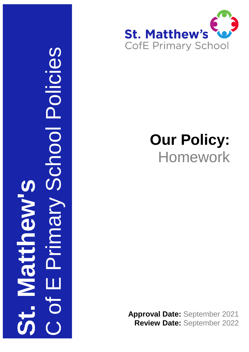

## **Our Policy:** Homework

**Approval Date:** September 2021 **Review Date:** September 2022

C of E Primary School Policies I Policie **St. Matthew's** NIBUUL  $\bigcirc$